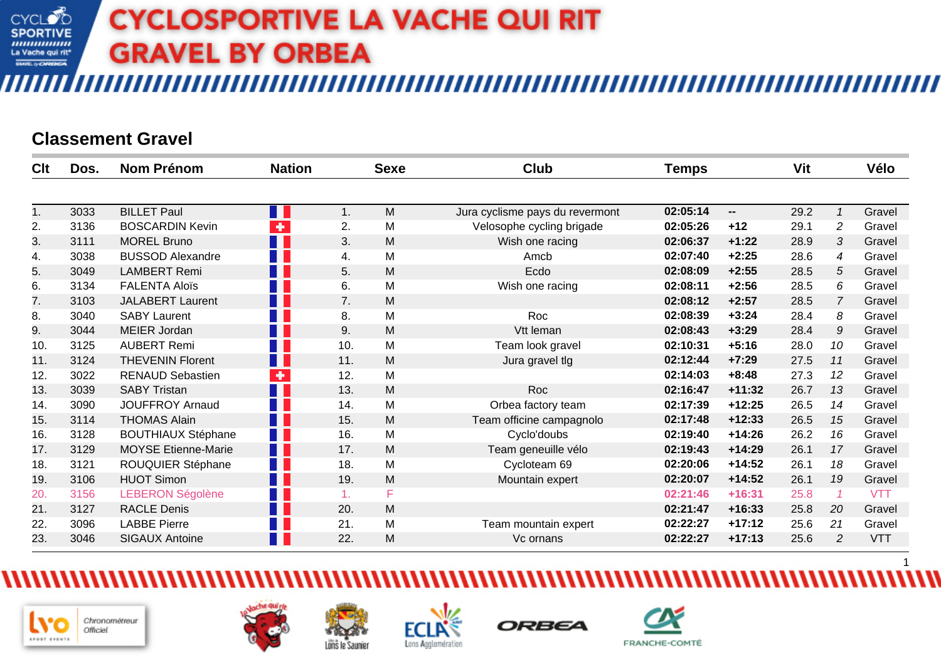### **Classement Gravel**

| Clt | Dos. | <b>Nom Prénom</b>          | <b>Nation</b>        |     | <b>Sexe</b> | <b>Club</b>                     | <b>Temps</b> |                          | Vit  |                | Vélo       |
|-----|------|----------------------------|----------------------|-----|-------------|---------------------------------|--------------|--------------------------|------|----------------|------------|
|     |      |                            |                      |     |             |                                 |              |                          |      |                |            |
| 1.  | 3033 | <b>BILLET Paul</b>         | u L                  | 1.  | M           | Jura cyclisme pays du revermont | 02:05:14     | $\overline{\phantom{a}}$ | 29.2 |                | Gravel     |
| 2.  | 3136 | <b>BOSCARDIN Kevin</b>     | $\ddot{\phantom{1}}$ | 2.  | M           | Velosophe cycling brigade       | 02:05:26     | $+12$                    | 29.1 | $\overline{c}$ | Gravel     |
| 3.  | 3111 | <b>MOREL Bruno</b>         | H I                  | 3.  | M           | Wish one racing                 | 02:06:37     | $+1:22$                  | 28.9 | 3              | Gravel     |
| 4.  | 3038 | <b>BUSSOD Alexandre</b>    |                      | 4.  | M           | Amcb                            | 02:07:40     | $+2:25$                  | 28.6 | 4              | Gravel     |
| 5.  | 3049 | <b>LAMBERT Remi</b>        |                      | 5.  | M           | Ecdo                            | 02:08:09     | $+2:55$                  | 28.5 | 5              | Gravel     |
| 6.  | 3134 | <b>FALENTA Aloïs</b>       |                      | 6.  | M           | Wish one racing                 | 02:08:11     | $+2:56$                  | 28.5 | 6              | Gravel     |
| 7.  | 3103 | <b>JALABERT Laurent</b>    | H I                  | 7.  | M           |                                 | 02:08:12     | $+2:57$                  | 28.5 | $\overline{7}$ | Gravel     |
| 8.  | 3040 | <b>SABY Laurent</b>        |                      | 8.  | M           | Roc                             | 02:08:39     | $+3:24$                  | 28.4 | 8              | Gravel     |
| 9.  | 3044 | <b>MEIER Jordan</b>        |                      | 9.  | M           | Vtt leman                       | 02:08:43     | $+3:29$                  | 28.4 | 9              | Gravel     |
| 10. | 3125 | <b>AUBERT Remi</b>         |                      | 10. | M           | Team look gravel                | 02:10:31     | $+5:16$                  | 28.0 | 10             | Gravel     |
| 11. | 3124 | <b>THEVENIN Florent</b>    | W                    | 11. | M           | Jura gravel tlg                 | 02:12:44     | $+7:29$                  | 27.5 | 11             | Gravel     |
| 12. | 3022 | <b>RENAUD Sebastien</b>    | $\ddot{\phantom{1}}$ | 12. | M           |                                 | 02:14:03     | $+8:48$                  | 27.3 | 12             | Gravel     |
| 13. | 3039 | <b>SABY Tristan</b>        | H I                  | 13. | M           | Roc                             | 02:16:47     | $+11:32$                 | 26.7 | 13             | Gravel     |
| 14. | 3090 | <b>JOUFFROY Arnaud</b>     |                      | 14. | M           | Orbea factory team              | 02:17:39     | $+12:25$                 | 26.5 | 14             | Gravel     |
| 15. | 3114 | <b>THOMAS Alain</b>        |                      | 15. | M           | Team officine campagnolo        | 02:17:48     | $+12:33$                 | 26.5 | 15             | Gravel     |
| 16. | 3128 | <b>BOUTHIAUX Stéphane</b>  |                      | 16. | M           | Cyclo'doubs                     | 02:19:40     | $+14:26$                 | 26.2 | 16             | Gravel     |
| 17. | 3129 | <b>MOYSE Etienne-Marie</b> | H I                  | 17. | M           | Team geneuille vélo             | 02:19:43     | $+14:29$                 | 26.1 | 17             | Gravel     |
| 18. | 3121 | ROUQUIER Stéphane          | Ш                    | 18. | M           | Cycloteam 69                    | 02:20:06     | $+14:52$                 | 26.1 | 18             | Gravel     |
| 19. | 3106 | <b>HUOT Simon</b>          | - 1                  | 19. | M           | Mountain expert                 | 02:20:07     | $+14:52$                 | 26.1 | 19             | Gravel     |
| 20. | 3156 | <b>LEBERON Ségolène</b>    |                      | 1.  | F           |                                 | 02:21:46     | $+16:31$                 | 25.8 |                | <b>VTT</b> |
| 21. | 3127 | <b>RACLE Denis</b>         |                      | 20. | M           |                                 | 02:21:47     | $+16:33$                 | 25.8 | 20             | Gravel     |
| 22. | 3096 | <b>LABBE Pierre</b>        |                      | 21. | M           | Team mountain expert            | 02:22:27     | $+17:12$                 | 25.6 | 21             | Gravel     |
| 23. | 3046 | <b>SIGAUX Antoine</b>      |                      | 22. | M           | Vc ornans                       | 02:22:27     | $+17:13$                 | 25.6 | 2              | <b>VTT</b> |









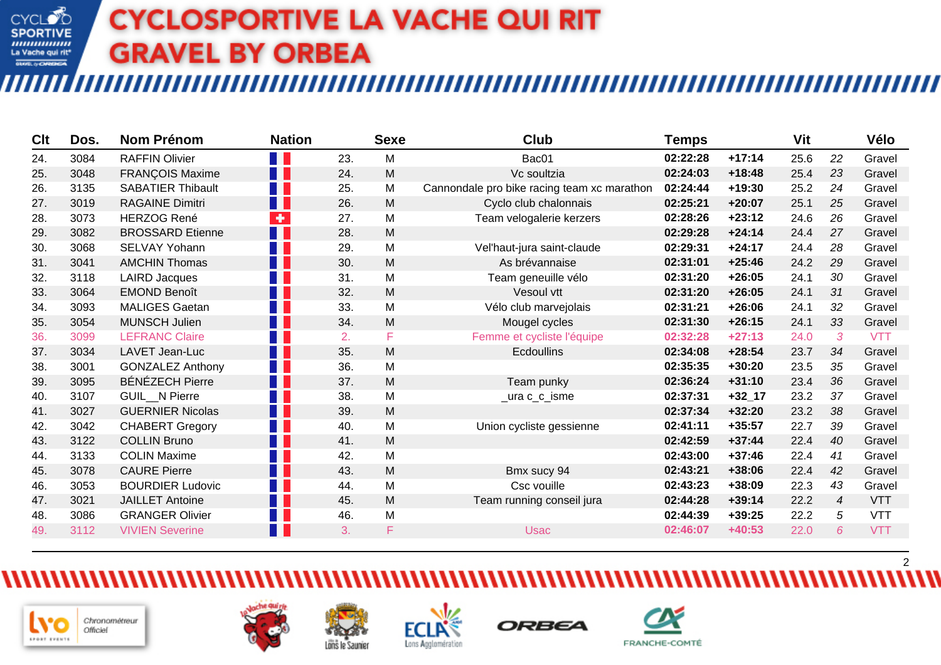‴

| Clt | Dos. | <b>Nom Prénom</b>        | <b>Nation</b>        |     | <b>Sexe</b> | Club                                        | <b>Temps</b> |            | Vit  |                | Vélo       |
|-----|------|--------------------------|----------------------|-----|-------------|---------------------------------------------|--------------|------------|------|----------------|------------|
| 24. | 3084 | <b>RAFFIN Olivier</b>    | T.                   | 23. | M           | Bac01                                       | 02:22:28     | $+17:14$   | 25.6 | 22             | Gravel     |
| 25. | 3048 | FRANÇOIS Maxime          | H.                   | 24. | M           | Vc soultzia                                 | 02:24:03     | $+18:48$   | 25.4 | 23             | Gravel     |
| 26. | 3135 | <b>SABATIER Thibault</b> | <b>TER</b>           | 25. | M           | Cannondale pro bike racing team xc marathon | 02:24:44     | +19:30     | 25.2 | 24             | Gravel     |
| 27. | 3019 | <b>RAGAINE Dimitri</b>   | H.                   | 26. | M           | Cyclo club chalonnais                       | 02:25:21     | $+20:07$   | 25.1 | 25             | Gravel     |
| 28. | 3073 | <b>HERZOG René</b>       | $\ddot{\phantom{1}}$ | 27. | M           | Team velogalerie kerzers                    | 02:28:26     | $+23:12$   | 24.6 | 26             | Gravel     |
| 29. | 3082 | <b>BROSSARD Etienne</b>  | a p                  | 28. | M           |                                             | 02:29:28     | $+24:14$   | 24.4 | 27             | Gravel     |
| 30. | 3068 | <b>SELVAY Yohann</b>     |                      | 29. | M           | Vel'haut-jura saint-claude                  | 02:29:31     | $+24:17$   | 24.4 | 28             | Gravel     |
| 31. | 3041 | <b>AMCHIN Thomas</b>     | H F                  | 30. | M           | As brévannaise                              | 02:31:01     | $+25:46$   | 24.2 | 29             | Gravel     |
| 32. | 3118 | <b>LAIRD Jacques</b>     | T I                  | 31. | M           | Team geneuille vélo                         | 02:31:20     | $+26:05$   | 24.1 | 30             | Gravel     |
| 33. | 3064 | <b>EMOND Benoît</b>      | <b>TER</b>           | 32. | M           | Vesoul vtt                                  | 02:31:20     | $+26:05$   | 24.1 | 31             | Gravel     |
| 34. | 3093 | <b>MALIGES Gaetan</b>    |                      | 33. | M           | Vélo club marvejolais                       | 02:31:21     | $+26:06$   | 24.1 | 32             | Gravel     |
| 35. | 3054 | <b>MUNSCH Julien</b>     | H F                  | 34. | M           | Mougel cycles                               | 02:31:30     | $+26:15$   | 24.1 | 33             | Gravel     |
| 36. | 3099 | <b>LEFRANC Claire</b>    | T I                  | 2.  | F           | Femme et cycliste l'équipe                  | 02:32:28     | $+27:13$   | 24.0 | 3              | <b>VTT</b> |
| 37. | 3034 | LAVET Jean-Luc           | M.                   | 35. | M           | <b>Ecdoullins</b>                           | 02:34:08     | $+28:54$   | 23.7 | 34             | Gravel     |
| 38. | 3001 | <b>GONZALEZ Anthony</b>  | n I                  | 36. | M           |                                             | 02:35:35     | $+30:20$   | 23.5 | 35             | Gravel     |
| 39. | 3095 | <b>BÉNÉZECH Pierre</b>   | <b>TILL</b>          | 37. | M           | Team punky                                  | 02:36:24     | $+31:10$   | 23.4 | 36             | Gravel     |
| 40. | 3107 | <b>GUIL N Pierre</b>     | H.                   | 38. | M           | _ura c_c_isme                               | 02:37:31     | $+32 - 17$ | 23.2 | 37             | Gravel     |
| 41. | 3027 | <b>GUERNIER Nicolas</b>  | F F                  | 39. | M           |                                             | 02:37:34     | $+32:20$   | 23.2 | 38             | Gravel     |
| 42. | 3042 | <b>CHABERT Gregory</b>   | H.                   | 40. | M           | Union cycliste gessienne                    | 02:41:11     | $+35:57$   | 22.7 | 39             | Gravel     |
| 43. | 3122 | <b>COLLIN Bruno</b>      | n p                  | 41. | M           |                                             | 02:42:59     | $+37:44$   | 22.4 | 40             | Gravel     |
| 44. | 3133 | <b>COLIN Maxime</b>      |                      | 42. | M           |                                             | 02:43:00     | $+37:46$   | 22.4 | 41             | Gravel     |
| 45. | 3078 | <b>CAURE Pierre</b>      | H F                  | 43. | M           | Bmx sucy 94                                 | 02:43:21     | +38:06     | 22.4 | 42             | Gravel     |
| 46. | 3053 | <b>BOURDIER Ludovic</b>  | an i                 | 44. | M           | Csc vouille                                 | 02:43:23     | +38:09     | 22.3 | 43             | Gravel     |
| 47. | 3021 | <b>JAILLET Antoine</b>   | n p                  | 45. | M           | Team running conseil jura                   | 02:44:28     | $+39:14$   | 22.2 | $\overline{4}$ | <b>VTT</b> |
| 48. | 3086 | <b>GRANGER Olivier</b>   | an i                 | 46. | M           |                                             | 02:44:39     | $+39:25$   | 22.2 | 5              | <b>VTT</b> |
| 49. | 3112 | <b>VIVIEN Severine</b>   |                      | 3.  | F           | <b>Usac</b>                                 | 02:46:07     | $+40:53$   | 22.0 | 6.             | <b>VTT</b> |











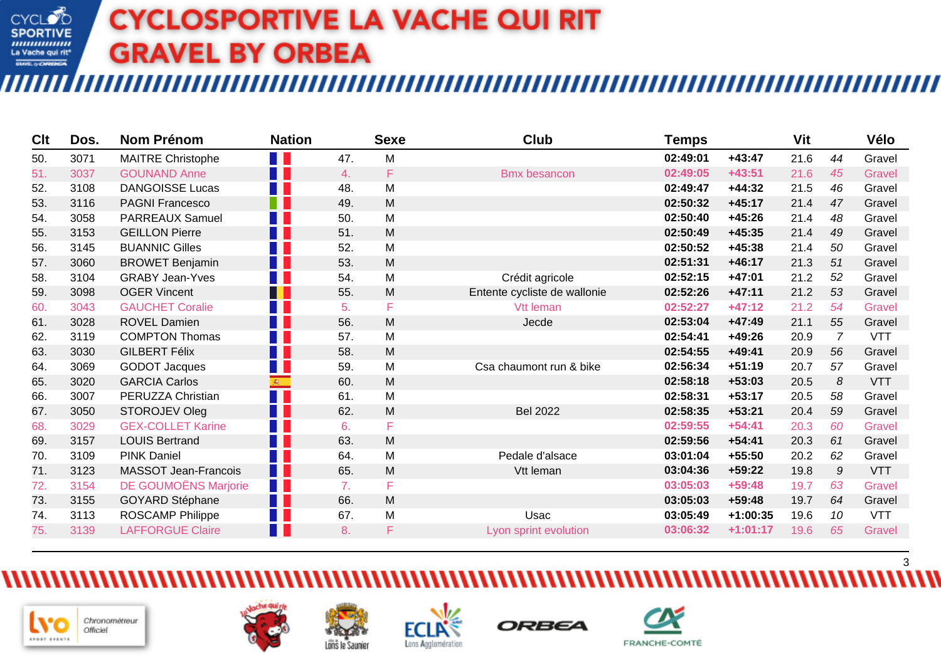‴

| Clt | Dos. | <b>Nom Prénom</b>           | <b>Nation</b>     |     | <b>Sexe</b> | Club                         | Temps    |            | Vit  |                | Vélo          |
|-----|------|-----------------------------|-------------------|-----|-------------|------------------------------|----------|------------|------|----------------|---------------|
| 50. | 3071 | <b>MAITRE Christophe</b>    | H                 | 47. | M           |                              | 02:49:01 | $+43:47$   | 21.6 | 44             | Gravel        |
| 51. | 3037 | <b>GOUNAND Anne</b>         | H.                | 4.  | F.          | <b>Bmx besancon</b>          | 02:49:05 | $+43:51$   | 21.6 | 45             | Gravel        |
| 52. | 3108 | <b>DANGOISSE Lucas</b>      | . .               | 48. | M           |                              | 02:49:47 | $+44:32$   | 21.5 | 46             | Gravel        |
| 53. | 3116 | <b>PAGNI Francesco</b>      | F.                | 49. | M           |                              | 02:50:32 | $+45:17$   | 21.4 | 47             | Gravel        |
| 54. | 3058 | <b>PARREAUX Samuel</b>      | M.                | 50. | M           |                              | 02:50:40 | $+45:26$   | 21.4 | 48             | Gravel        |
| 55. | 3153 | <b>GEILLON Pierre</b>       | П                 | 51. | M           |                              | 02:50:49 | $+45:35$   | 21.4 | 49             | Gravel        |
| 56. | 3145 | <b>BUANNIC Gilles</b>       | Ш                 | 52. | M           |                              | 02:50:52 | $+45:38$   | 21.4 | 50             | Gravel        |
| 57. | 3060 | <b>BROWET Benjamin</b>      | N N               | 53. | M           |                              | 02:51:31 | $+46:17$   | 21.3 | 51             | Gravel        |
| 58. | 3104 | <b>GRABY Jean-Yves</b>      | a p               | 54. | M           | Crédit agricole              | 02:52:15 | $+47:01$   | 21.2 | 52             | Gravel        |
| 59. | 3098 | <b>OGER Vincent</b>         | H                 | 55. | M           | Entente cycliste de wallonie | 02:52:26 | $+47:11$   | 21.2 | 53             | Gravel        |
| 60. | 3043 | <b>GAUCHET Coralie</b>      | a p               | 5.  | F           | Vtt leman                    | 02:52:27 | $+47:12$   | 21.2 | 54             | Gravel        |
| 61. | 3028 | <b>ROVEL Damien</b>         | F F               | 56. | M           | Jecde                        | 02:53:04 | $+47:49$   | 21.1 | 55             | Gravel        |
| 62. | 3119 | <b>COMPTON Thomas</b>       | H.                | 57. | M           |                              | 02:54:41 | $+49:26$   | 20.9 | $\overline{7}$ | <b>VTT</b>    |
| 63. | 3030 | <b>GILBERT Félix</b>        | N N               | 58. | M           |                              | 02:54:55 | $+49:41$   | 20.9 | 56             | Gravel        |
| 64. | 3069 | <b>GODOT Jacques</b>        | . .               | 59. | M           | Csa chaumont run & bike      | 02:56:34 | $+51:19$   | 20.7 | 57             | Gravel        |
| 65. | 3020 | <b>GARCIA Carlos</b>        | $\mathbf{R}$      | 60. | M           |                              | 02:58:18 | $+53:03$   | 20.5 | 8              | <b>VTT</b>    |
| 66. | 3007 | PERUZZA Christian           | N N               | 61. | M           |                              | 02:58:31 | $+53:17$   | 20.5 | 58             | Gravel        |
| 67. | 3050 | STOROJEV Oleg               | H.                | 62. | M           | <b>Bel 2022</b>              | 02:58:35 | $+53:21$   | 20.4 | 59             | Gravel        |
| 68. | 3029 | <b>GEX-COLLET Karine</b>    | ا ا               | 6.  | F           |                              | 02:59:55 | $+54:41$   | 20.3 | 60             | Gravel        |
| 69. | 3157 | <b>LOUIS Bertrand</b>       | n n               | 63. | M           |                              | 02:59:56 | $+54:41$   | 20.3 | 61             | Gravel        |
| 70. | 3109 | <b>PINK Daniel</b>          | T F               | 64. | M           | Pedale d'alsace              | 03:01:04 | $+55:50$   | 20.2 | 62             | Gravel        |
| 71. | 3123 | <b>MASSOT Jean-Francois</b> | <b>TELEVISION</b> | 65. | M           | Vtt leman                    | 03:04:36 | $+59:22$   | 19.8 | 9              | <b>VTT</b>    |
| 72. | 3154 | <b>DE GOUMOËNS Marjorie</b> | H II              | 7.  | F           |                              | 03:05:03 | $+59:48$   | 19.7 | 63             | <b>Gravel</b> |
| 73. | 3155 | <b>GOYARD Stéphane</b>      | M.                | 66. | M           |                              | 03:05:03 | $+59:48$   | 19.7 | 64             | Gravel        |
| 74. | 3113 | ROSCAMP Philippe            | M.                | 67. | M           | Usac                         | 03:05:49 | $+1:00:35$ | 19.6 | 10             | <b>VTT</b>    |
| 75. | 3139 | <b>LAFFORGUE Claire</b>     | l R               | 8.  | F           | Lyon sprint evolution        | 03:06:32 | $+1:01:17$ | 19.6 | 65             | Gravel        |

3







Löns le Saunier





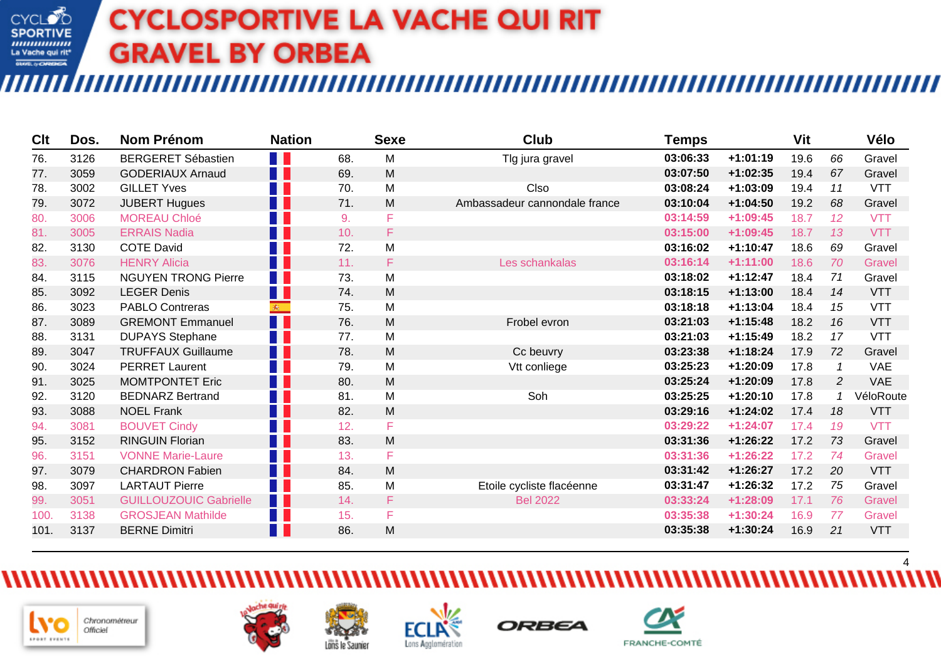‴

| Clt  | Dos. | <b>Nom Prénom</b>             | <b>Nation</b>      |     | <b>Sexe</b> | <b>Club</b>                   | <b>Temps</b> |            | Vit  |    | Vélo          |
|------|------|-------------------------------|--------------------|-----|-------------|-------------------------------|--------------|------------|------|----|---------------|
| 76.  | 3126 | <b>BERGERET Sébastien</b>     | T.                 | 68. | M           | Tlg jura gravel               | 03:06:33     | $+1:01:19$ | 19.6 | 66 | Gravel        |
| 77.  | 3059 | <b>GODERIAUX Arnaud</b>       | H E                | 69. | M           |                               | 03:07:50     | $+1:02:35$ | 19.4 | 67 | Gravel        |
| 78.  | 3002 | <b>GILLET Yves</b>            | T.                 | 70. | M           | Clso                          | 03:08:24     | $+1:03:09$ | 19.4 | 11 | <b>VTT</b>    |
| 79.  | 3072 | <b>JUBERT Hugues</b>          | a pr               | 71. | M           | Ambassadeur cannondale france | 03:10:04     | $+1:04:50$ | 19.2 | 68 | Gravel        |
| 80.  | 3006 | <b>MOREAU Chloé</b>           | T F                | 9.  | F           |                               | 03:14:59     | $+1:09:45$ | 18.7 | 12 | <b>VTT</b>    |
| 81.  | 3005 | <b>ERRAIS Nadia</b>           | a p                | 10. | F.          |                               | 03:15:00     | $+1:09:45$ | 18.7 | 13 | <b>VTT</b>    |
| 82.  | 3130 | <b>COTE David</b>             | a pr               | 72. | M           |                               | 03:16:02     | $+1:10:47$ | 18.6 | 69 | Gravel        |
| 83.  | 3076 | <b>HENRY Alicia</b>           | T F                | 11. | F           | Les schankalas                | 03:16:14     | $+1:11:00$ | 18.6 | 70 | Gravel        |
| 84.  | 3115 | <b>NGUYEN TRONG Pierre</b>    | T I                | 73. | M           |                               | 03:18:02     | $+1:12:47$ | 18.4 | 71 | Gravel        |
| 85.  | 3092 | <b>LEGER Denis</b>            | a p                | 74. | M           |                               | 03:18:15     | $+1:13:00$ | 18.4 | 14 | <b>VTT</b>    |
| 86.  | 3023 | <b>PABLO Contreras</b>        | $\mathbf{\hat{R}}$ | 75. | M           |                               | 03:18:18     | $+1:13:04$ | 18.4 | 15 | <b>VTT</b>    |
| 87.  | 3089 | <b>GREMONT Emmanuel</b>       | n n                | 76. | M           | Frobel evron                  | 03:21:03     | $+1:15:48$ | 18.2 | 16 | <b>VTT</b>    |
| 88.  | 3131 | <b>DUPAYS Stephane</b>        | ا ا                | 77. | M           |                               | 03:21:03     | $+1:15:49$ | 18.2 | 17 | <b>VTT</b>    |
| 89.  | 3047 | <b>TRUFFAUX Guillaume</b>     | n n                | 78. | M           | Cc beuvry                     | 03:23:38     | $+1:18:24$ | 17.9 | 72 | Gravel        |
| 90.  | 3024 | <b>PERRET Laurent</b>         | T                  | 79. | M           | Vtt conliege                  | 03:25:23     | $+1:20:09$ | 17.8 |    | <b>VAE</b>    |
| 91.  | 3025 | <b>MOMTPONTET Eric</b>        | n n                | 80. | M           |                               | 03:25:24     | $+1:20:09$ | 17.8 | 2  | <b>VAE</b>    |
| 92.  | 3120 | <b>BEDNARZ Bertrand</b>       | T F                | 81. | M           | Soh                           | 03:25:25     | $+1:20:10$ | 17.8 |    | VéloRoute     |
| 93.  | 3088 | <b>NOEL Frank</b>             | a p                | 82. | M           |                               | 03:29:16     | $+1:24:02$ | 17.4 | 18 | <b>VTT</b>    |
| 94.  | 3081 | <b>BOUVET Cindy</b>           | 11                 | 12. | F           |                               | 03:29:22     | $+1:24:07$ | 17.4 | 19 | <b>VTT</b>    |
| 95.  | 3152 | <b>RINGUIN Florian</b>        | n n                | 83. | M           |                               | 03:31:36     | $+1:26:22$ | 17.2 | 73 | Gravel        |
| 96.  | 3151 | <b>VONNE Marie-Laure</b>      | 11                 | 13. | F           |                               | 03:31:36     | $+1:26:22$ | 17.2 | 74 | Gravel        |
| 97.  | 3079 | <b>CHARDRON Fabien</b>        | a p                | 84. | M           |                               | 03:31:42     | $+1:26:27$ | 17.2 | 20 | <b>VTT</b>    |
| 98.  | 3097 | <b>LARTAUT Pierre</b>         | T                  | 85. | M           | Etoile cycliste flacéenne     | 03:31:47     | $+1:26:32$ | 17.2 | 75 | Gravel        |
| 99.  | 3051 | <b>GUILLOUZOUIC Gabrielle</b> | H E                | 14. | F.          | <b>Bel 2022</b>               | 03:33:24     | $+1:28:09$ | 17.1 | 76 | Gravel        |
| 100. | 3138 | <b>GROSJEAN Mathilde</b>      | T F                | 15. | F           |                               | 03:35:38     | $+1:30:24$ | 16.9 | 77 | <b>Gravel</b> |
| 101. | 3137 | <b>BERNE Dimitri</b>          | T.                 | 86. | M           |                               | 03:35:38     | $+1:30:24$ | 16.9 | 21 | <b>VTT</b>    |
|      |      |                               |                    |     |             |                               |              |            |      |    |               |











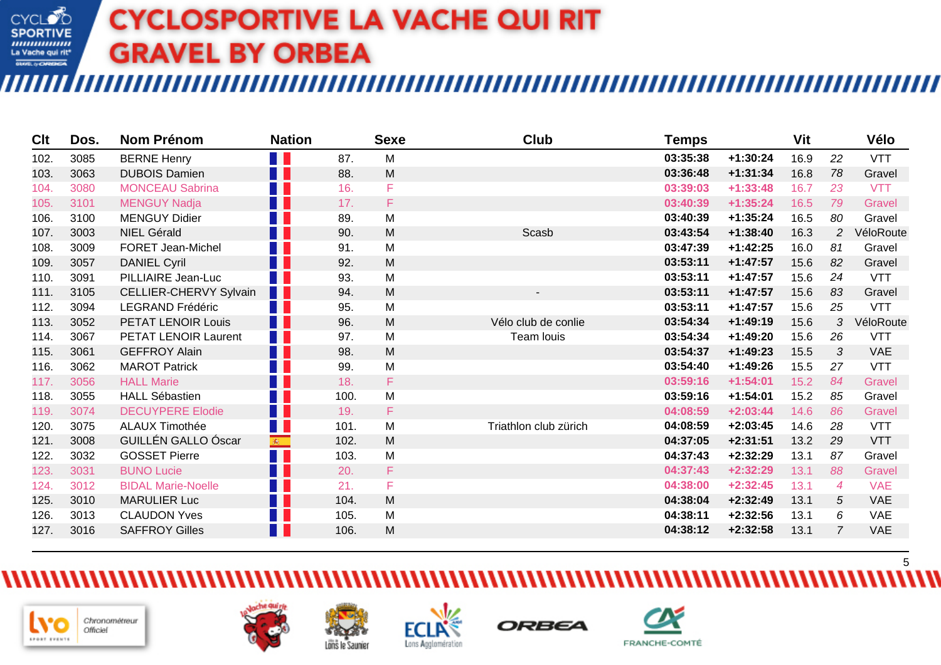‴

| Clt  | Dos. | Nom Prénom                 | <b>Nation</b> |      | <b>Sexe</b> | Club                  | <b>Temps</b> |            | Vit  |                | Vélo          |
|------|------|----------------------------|---------------|------|-------------|-----------------------|--------------|------------|------|----------------|---------------|
| 102. | 3085 | <b>BERNE Henry</b>         | U N           | 87.  | M           |                       | 03:35:38     | $+1:30:24$ | 16.9 | 22             | <b>VTT</b>    |
| 103. | 3063 | <b>DUBOIS Damien</b>       | F.            | 88.  | M           |                       | 03:36:48     | $+1:31:34$ | 16.8 | 78             | Gravel        |
| 104. | 3080 | <b>MONCEAU Sabrina</b>     | w             | 16.  | F           |                       | 03:39:03     | $+1:33:48$ | 16.7 | 23             | <b>VTT</b>    |
| 105. | 3101 | <b>MENGUY Nadja</b>        | T             | 17.  | F           |                       | 03:40:39     | $+1:35:24$ | 16.5 | 79             | <b>Gravel</b> |
| 106. | 3100 | <b>MENGUY Didier</b>       | W             | 89.  | M           |                       | 03:40:39     | $+1:35:24$ | 16.5 | 80             | Gravel        |
| 107. | 3003 | <b>NIEL Gérald</b>         | H F           | 90.  | M           | Scasb                 | 03:43:54     | $+1:38:40$ | 16.3 | 2              | VéloRoute     |
| 108. | 3009 | <b>FORET Jean-Michel</b>   | Ш             | 91.  | M           |                       | 03:47:39     | $+1:42:25$ | 16.0 | 81             | Gravel        |
| 109. | 3057 | <b>DANIEL Cyril</b>        | T F           | 92.  | M           |                       | 03:53:11     | $+1:47:57$ | 15.6 | 82             | Gravel        |
| 110. | 3091 | PILLIAIRE Jean-Luc         | W             | 93.  | M           |                       | 03:53:11     | $+1:47:57$ | 15.6 | 24             | <b>VTT</b>    |
| 111. | 3105 | CELLIER-CHERVY Sylvain     | Ш             | 94.  | M           | ۰                     | 03:53:11     | $+1:47:57$ | 15.6 | 83             | Gravel        |
| 112. | 3094 | <b>LEGRAND Frédéric</b>    | T F           | 95.  | M           |                       | 03:53:11     | $+1:47:57$ | 15.6 | 25             | <b>VTT</b>    |
| 113. | 3052 | PETAT LENOIR Louis         | H E           | 96.  | M           | Vélo club de conlie   | 03:54:34     | $+1:49:19$ | 15.6 | 3              | VéloRoute     |
| 114. | 3067 | PETAT LENOIR Laurent       |               | 97.  | M           | Team louis            | 03:54:34     | $+1:49:20$ | 15.6 | 26             | <b>VTT</b>    |
| 115. | 3061 | <b>GEFFROY Alain</b>       | n n           | 98.  | M           |                       | 03:54:37     | $+1:49:23$ | 15.5 | 3              | <b>VAE</b>    |
| 116. | 3062 | <b>MAROT Patrick</b>       | T             | 99.  | M           |                       | 03:54:40     | $+1:49:26$ | 15.5 | 27             | <b>VTT</b>    |
| 117. | 3056 | <b>HALL Marie</b>          | H E           | 18.  | F           |                       | 03:59:16     | $+1:54:01$ | 15.2 | 84             | <b>Gravel</b> |
| 118. | 3055 | <b>HALL Sébastien</b>      | ا ا           | 100. | M           |                       | 03:59:16     | $+1:54:01$ | 15.2 | 85             | Gravel        |
| 119. | 3074 | <b>DECUYPERE Elodie</b>    | H H           | 19.  | F           |                       | 04:08:59     | $+2:03:44$ | 14.6 | 86             | <b>Gravel</b> |
| 120. | 3075 | <b>ALAUX Timothée</b>      | T I           | 101. | M           | Triathlon club zürich | 04:08:59     | $+2:03:45$ | 14.6 | 28             | <b>VTT</b>    |
| 121. | 3008 | <b>GUILLÉN GALLO Óscar</b> | <b>@</b>      | 102. | M           |                       | 04:37:05     | $+2:31:51$ | 13.2 | 29             | <b>VTT</b>    |
| 122. | 3032 | <b>GOSSET Pierre</b>       | H H           | 103. | M           |                       | 04:37:43     | $+2:32:29$ | 13.1 | 87             | Gravel        |
| 123. | 3031 | <b>BUNO Lucie</b>          | N N           | 20.  | F           |                       | 04:37:43     | $+2:32:29$ | 13.1 | 88             | <b>Gravel</b> |
| 124. | 3012 | <b>BIDAL Marie-Noelle</b>  | T F           | 21.  | F           |                       | 04:38:00     | $+2:32:45$ | 13.1 | $\overline{4}$ | <b>VAE</b>    |
| 125. | 3010 | <b>MARULIER Luc</b>        | H E           | 104. | M           |                       | 04:38:04     | $+2:32:49$ | 13.1 | 5              | <b>VAE</b>    |
| 126. | 3013 | <b>CLAUDON Yves</b>        | H.            | 105. | M           |                       | 04:38:11     | $+2:32:56$ | 13.1 | 6              | <b>VAE</b>    |
| 127. | 3016 | <b>SAFFROY Gilles</b>      | 11            | 106. | M           |                       | 04:38:12     | $+2:32:58$ | 13.1 | 7              | <b>VAE</b>    |